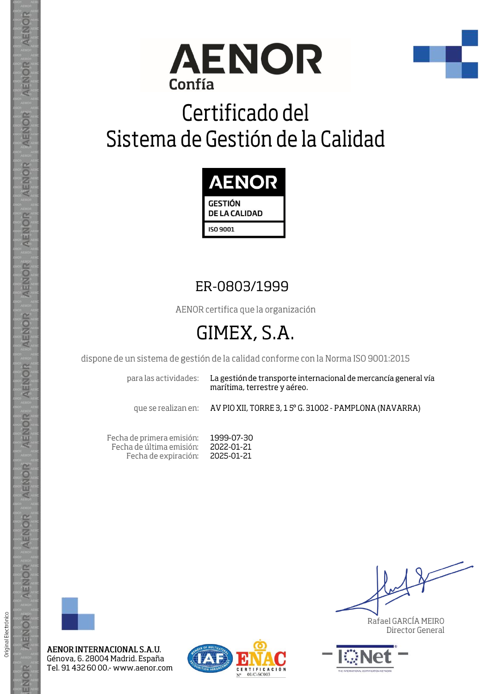



# Certificado del Sistema de Gestión de la Calidad



### ER-0803/1999

AENOR certifica que la organización

## GIMEX, S.A.

dispone de un sistema de gestión de la calidad conforme con la Norma ISO 9001:2015

para las actividades:

La gestión de transporte internacional de mercancía general vía marítima, terrestre y aéreo.

que se realizan en:

AV PIO XII, TORRE 3, 1 5° G. 31002 - PAMPLONA (NAVARRA)

Fecha de primera emisión: Fecha de última emisión: Fecha de expiración:

1999-07-30 2022-01-21 2025-01-21



AENOR INTERNACIONAL S.A.U. Génova, 6. 28004 Madrid. España Tel. 91 432 60 00 - www.aenor.com



Rafael GARCÍA MEIRO Director General



**AENOR** 

ENOR

ENOR

**AENOR** 

AENOR

AENOR

**AENOR** 

AENOR

ENOR

AENOR

AENOR

AENOR

AENOR

ENOR